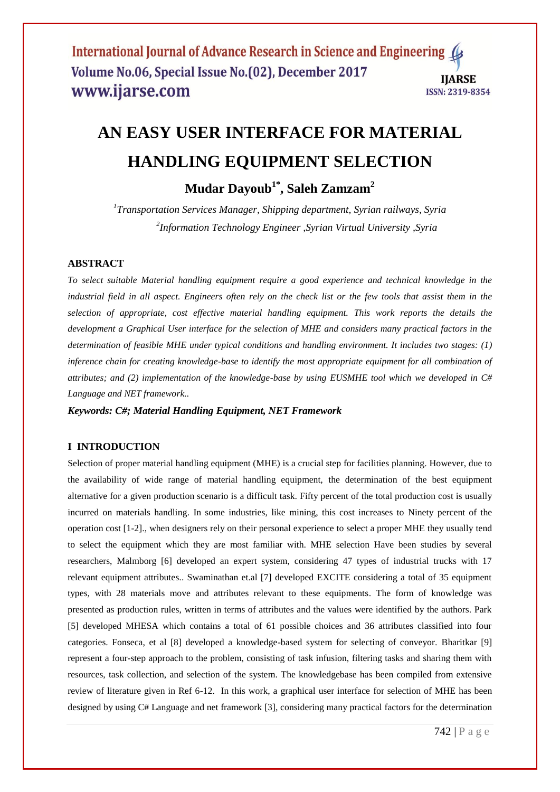# **AN EASY USER INTERFACE FOR MATERIAL HANDLING EQUIPMENT SELECTION**

**Mudar Dayoub1\* , Saleh Zamzam<sup>2</sup>**

*1 Transportation Services Manager, Shipping department, Syrian railways, Syria 2 Information Technology Engineer ,Syrian Virtual University ,Syria*

#### **ABSTRACT**

*To select suitable Material handling equipment require a good experience and technical knowledge in the industrial field in all aspect. Engineers often rely on the check list or the few tools that assist them in the selection of appropriate, cost effective material handling equipment. This work reports the details the development a Graphical User interface for the selection of MHE and considers many practical factors in the determination of feasible MHE under typical conditions and handling environment. It includes two stages: (1) inference chain for creating knowledge-base to identify the most appropriate equipment for all combination of attributes; and (2) implementation of the knowledge-base by using EUSMHE tool which we developed in C# Language and NET framework..*

*Keywords: C#; Material Handling Equipment, NET Framework*

#### **I INTRODUCTION**

Selection of proper material handling equipment (MHE) is a crucial step for facilities planning. However, due to the availability of wide range of material handling equipment, the determination of the best equipment alternative for a given production scenario is a difficult task. Fifty percent of the total production cost is usually incurred on materials handling. In some industries, like mining, this cost increases to Ninety percent of the operation cost [1-2]., when designers rely on their personal experience to select a proper MHE they usually tend to select the equipment which they are most familiar with. MHE selection Have been studies by several researchers, Malmborg [6] developed an expert system, considering 47 types of industrial trucks with 17 relevant equipment attributes.. Swaminathan et.al [7] developed EXCITE considering a total of 35 equipment types, with 28 materials move and attributes relevant to these equipments. The form of knowledge was presented as production rules, written in terms of attributes and the values were identified by the authors. Park [5] developed MHESA which contains a total of 61 possible choices and 36 attributes classified into four categories. Fonseca, et al [8] developed a knowledge-based system for selecting of conveyor. Bharitkar [9] represent a four-step approach to the problem, consisting of task infusion, filtering tasks and sharing them with resources, task collection, and selection of the system. The knowledgebase has been compiled from extensive review of literature given in Ref 6-12. In this work, a graphical user interface for selection of MHE has been designed by using C# Language and net framework [3], considering many practical factors for the determination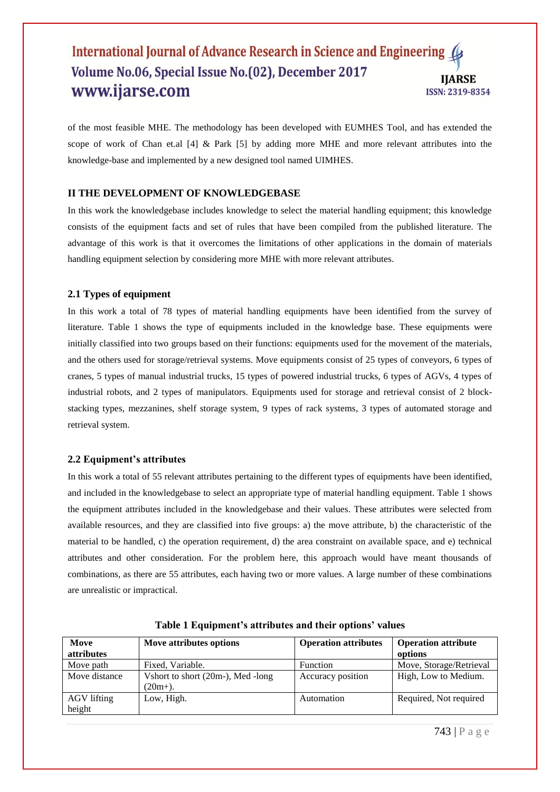#### International Journal of Advance Research in Science and Engineering Volume No.06, Special Issue No.(02), December 2017 **IIARSE** www.ijarse.com **ISSN: 2319-8354**

of the most feasible MHE. The methodology has been developed with EUMHES Tool, and has extended the scope of work of Chan et.al [4] & Park [5] by adding more MHE and more relevant attributes into the knowledge-base and implemented by a new designed tool named UIMHES.

#### **II THE DEVELOPMENT OF KNOWLEDGEBASE**

In this work the knowledgebase includes knowledge to select the material handling equipment; this knowledge consists of the equipment facts and set of rules that have been compiled from the published literature. The advantage of this work is that it overcomes the limitations of other applications in the domain of materials handling equipment selection by considering more MHE with more relevant attributes.

#### **2.1 Types of equipment**

In this work a total of 78 types of material handling equipments have been identified from the survey of literature. Table 1 shows the type of equipments included in the knowledge base. These equipments were initially classified into two groups based on their functions: equipments used for the movement of the materials, and the others used for storage/retrieval systems. Move equipments consist of 25 types of conveyors, 6 types of cranes, 5 types of manual industrial trucks, 15 types of powered industrial trucks, 6 types of AGVs, 4 types of industrial robots, and 2 types of manipulators. Equipments used for storage and retrieval consist of 2 blockstacking types, mezzanines, shelf storage system, 9 types of rack systems, 3 types of automated storage and retrieval system.

#### **2.2 Equipment's attributes**

In this work a total of 55 relevant attributes pertaining to the different types of equipments have been identified, and included in the knowledgebase to select an appropriate type of material handling equipment. Table 1 shows the equipment attributes included in the knowledgebase and their values. These attributes were selected from available resources, and they are classified into five groups: a) the move attribute, b) the characteristic of the material to be handled, c) the operation requirement, d) the area constraint on available space, and e) technical attributes and other consideration. For the problem here, this approach would have meant thousands of combinations, as there are 55 attributes, each having two or more values. A large number of these combinations are unrealistic or impractical.

| Move              | Move attributes options           | <b>Operation attributes</b> | <b>Operation attribute</b> |
|-------------------|-----------------------------------|-----------------------------|----------------------------|
| <i>attributes</i> |                                   |                             | options                    |
| Move path         | Fixed, Variable.                  | <b>Function</b>             | Move, Storage/Retrieval    |
| Move distance     | Vshort to short (20m-), Med -long | Accuracy position           | High, Low to Medium.       |
|                   | $(20m+).$                         |                             |                            |
| AGV lifting       | Low, High.                        | Automation                  | Required, Not required     |
| height            |                                   |                             |                            |

**Table 1 Equipment's attributes and their options' values**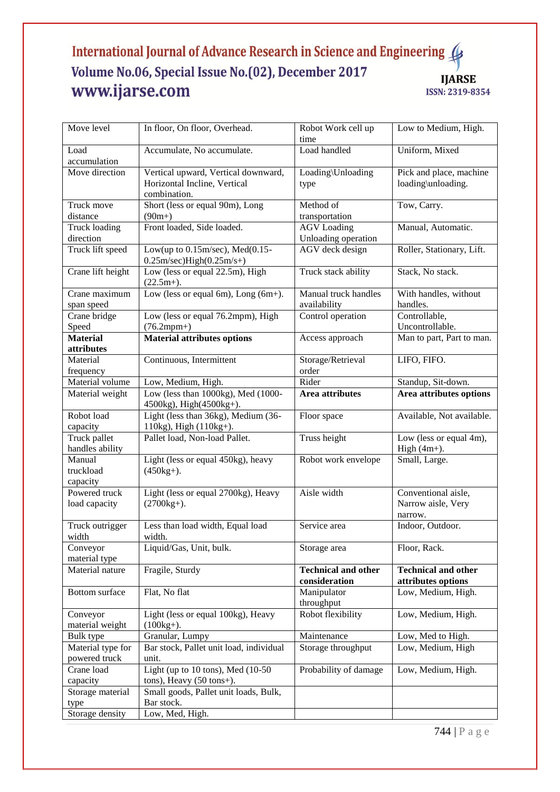# International Journal of Advance Research in Science and Engineering Volume No.06, Special Issue No.(02), December 2017 **IJARSE** www.ijarse.com ISSN: 2319-8354

| Move level                         | In floor, On floor, Overhead.                                                       | Robot Work cell up<br>time                  | Low to Medium, High.                                 |
|------------------------------------|-------------------------------------------------------------------------------------|---------------------------------------------|------------------------------------------------------|
| Load<br>accumulation               | Accumulate, No accumulate.                                                          | Load handled                                | Uniform, Mixed                                       |
| Move direction                     | Vertical upward, Vertical downward,<br>Horizontal Incline, Vertical<br>combination. | Loading\Unloading<br>type                   | Pick and place, machine<br>loading\unloading.        |
| Truck move<br>distance             | Short (less or equal 90m), Long<br>$(90m+)$                                         | Method of<br>transportation                 | Tow, Carry.                                          |
| <b>Truck loading</b><br>direction  | Front loaded, Side loaded.                                                          | <b>AGV</b> Loading<br>Unloading operation   | Manual, Automatic.                                   |
| Truck lift speed                   | Low(up to $0.15$ m/sec), Med $(0.15$ -<br>$0.25m/sec$ ) $High(0.25m/s+)$            | AGV deck design                             | Roller, Stationary, Lift.                            |
| Crane lift height                  | Low (less or equal 22.5m), High<br>$(22.5m+).$                                      | Truck stack ability                         | Stack, No stack.                                     |
| Crane maximum<br>span speed        | Low (less or equal 6m), Long $(6m+)$ .                                              | Manual truck handles<br>availability        | With handles, without<br>handles.                    |
| Crane bridge<br>Speed              | Low (less or equal 76.2mpm), High<br>$(76.2$ mpm+)                                  | Control operation                           | Controllable,<br>Uncontrollable.                     |
| <b>Material</b><br>attributes      | <b>Material attributes options</b>                                                  | Access approach                             | Man to part, Part to man.                            |
| Material<br>frequency              | Continuous, Intermittent                                                            | Storage/Retrieval<br>order                  | LIFO, FIFO.                                          |
| Material volume                    | Low, Medium, High.                                                                  | Rider                                       | Standup, Sit-down.                                   |
| Material weight                    | Low (less than 1000kg), Med (1000-<br>4500kg), High(4500kg+).                       | <b>Area attributes</b>                      | Area attributes options                              |
| Robot load<br>capacity             | Light (less than 36kg), Medium (36-<br>110kg), High (110kg+).                       | Floor space                                 | Available, Not available.                            |
| Truck pallet<br>handles ability    | Pallet load, Non-load Pallet.                                                       | Truss height                                | Low (less or equal 4m),<br>High $(4m+)$ .            |
| Manual<br>truckload<br>capacity    | Light (less or equal 450kg), heavy<br>$(450kg+).$                                   | Robot work envelope                         | Small, Large.                                        |
| Powered truck<br>load capacity     | Light (less or equal 2700kg), Heavy<br>$(2700kg+).$                                 | Aisle width                                 | Conventional aisle,<br>Narrow aisle, Very<br>narrow. |
| Truck outrigger<br>width           | Less than load width, Equal load<br>width.                                          | Service area                                | Indoor, Outdoor.                                     |
| Conveyor<br>material type          | Liquid/Gas, Unit, bulk.                                                             | Storage area                                | Floor, Rack.                                         |
| Material nature                    | Fragile, Sturdy                                                                     | <b>Technical and other</b><br>consideration | <b>Technical and other</b><br>attributes options     |
| <b>Bottom</b> surface              | Flat, No flat                                                                       | Manipulator<br>throughput                   | Low, Medium, High.                                   |
| Conveyor<br>material weight        | Light (less or equal 100kg), Heavy<br>$(100kg+).$                                   | Robot flexibility                           | Low, Medium, High.                                   |
| Bulk type                          | Granular, Lumpy                                                                     | Maintenance                                 | Low, Med to High.                                    |
| Material type for<br>powered truck | Bar stock, Pallet unit load, individual<br>unit.                                    | Storage throughput                          | Low, Medium, High                                    |
| Crane load<br>capacity             | Light (up to $10$ tons), Med $(10-50)$<br>tons), Heavy (50 tons+).                  | Probability of damage                       | Low, Medium, High.                                   |
| Storage material<br>type           | Small goods, Pallet unit loads, Bulk,<br>Bar stock.                                 |                                             |                                                      |
| Storage density                    | Low, Med, High.                                                                     |                                             |                                                      |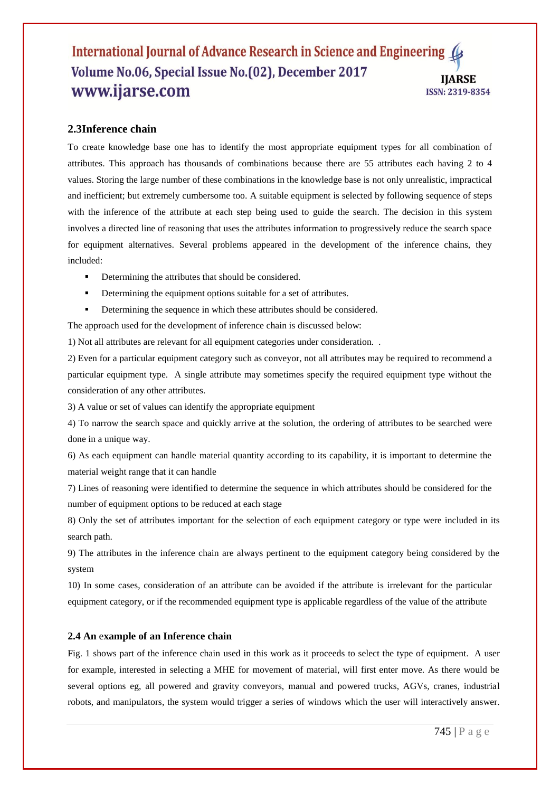#### International Journal of Advance Research in Science and Engineering Volume No.06, Special Issue No.(02), December 2017 **IIARSE** www.ijarse.com ISSN: 2319-8354

## **2.3Inference chain**

To create knowledge base one has to identify the most appropriate equipment types for all combination of attributes. This approach has thousands of combinations because there are 55 attributes each having 2 to 4 values. Storing the large number of these combinations in the knowledge base is not only unrealistic, impractical and inefficient; but extremely cumbersome too. A suitable equipment is selected by following sequence of steps with the inference of the attribute at each step being used to guide the search. The decision in this system involves a directed line of reasoning that uses the attributes information to progressively reduce the search space for equipment alternatives. Several problems appeared in the development of the inference chains, they included:

- Determining the attributes that should be considered.
- Determining the equipment options suitable for a set of attributes.
- Determining the sequence in which these attributes should be considered.

The approach used for the development of inference chain is discussed below:

1) Not all attributes are relevant for all equipment categories under consideration. .

2) Even for a particular equipment category such as conveyor, not all attributes may be required to recommend a particular equipment type. A single attribute may sometimes specify the required equipment type without the consideration of any other attributes.

3) A value or set of values can identify the appropriate equipment

4) To narrow the search space and quickly arrive at the solution, the ordering of attributes to be searched were done in a unique way.

6) As each equipment can handle material quantity according to its capability, it is important to determine the material weight range that it can handle

7) Lines of reasoning were identified to determine the sequence in which attributes should be considered for the number of equipment options to be reduced at each stage

8) Only the set of attributes important for the selection of each equipment category or type were included in its search path.

9) The attributes in the inference chain are always pertinent to the equipment category being considered by the system

10) In some cases, consideration of an attribute can be avoided if the attribute is irrelevant for the particular equipment category, or if the recommended equipment type is applicable regardless of the value of the attribute

#### **2.4 An** e**xample of an Inference chain**

Fig. 1 shows part of the inference chain used in this work as it proceeds to select the type of equipment. A user for example, interested in selecting a MHE for movement of material, will first enter move. As there would be several options eg, all powered and gravity conveyors, manual and powered trucks, AGVs, cranes, industrial robots, and manipulators, the system would trigger a series of windows which the user will interactively answer.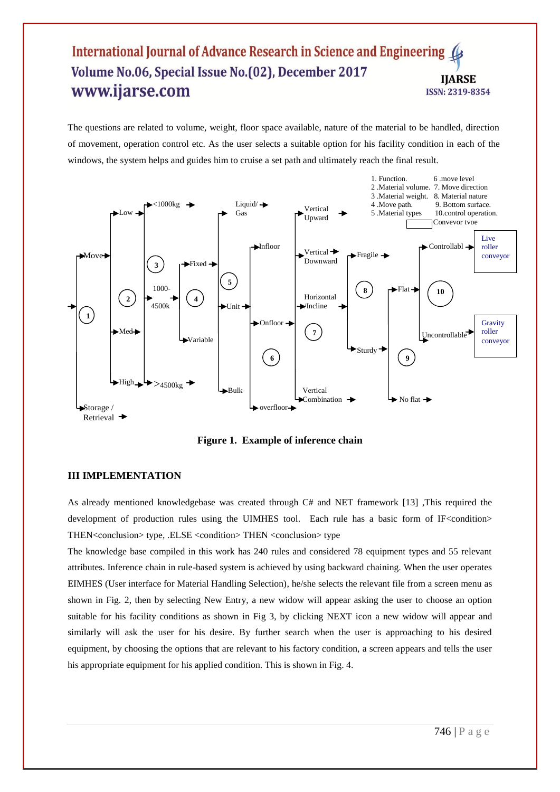# International Journal of Advance Research in Science and Engineering Volume No.06, Special Issue No.(02), December 2017 **IIARSE** www.ijarse.com ISSN: 2319-8354

The questions are related to volume, weight, floor space available, nature of the material to be handled, direction of movement, operation control etc. As the user selects a suitable option for his facility condition in each of the windows, the system helps and guides him to cruise a set path and ultimately reach the final result.



**Figure 1. Example of inference chain**

# **III IMPLEMENTATION**

As already mentioned knowledgebase was created through C# and NET framework [13] ,This required the development of production rules using the UIMHES tool. Each rule has a basic form of IF<condition> THEN<conclusion> type, .ELSE <condition> THEN <conclusion> type

The knowledge base compiled in this work has 240 rules and considered 78 equipment types and 55 relevant attributes. Inference chain in rule-based system is achieved by using backward chaining. When the user operates EIMHES (User interface for Material Handling Selection), he/she selects the relevant file from a screen menu as shown in Fig. 2, then by selecting New Entry, a new widow will appear asking the user to choose an option suitable for his facility conditions as shown in Fig 3, by clicking NEXT icon a new widow will appear and similarly will ask the user for his desire. By further search when the user is approaching to his desired equipment, by choosing the options that are relevant to his factory condition, a screen appears and tells the user his appropriate equipment for his applied condition. This is shown in Fig. 4.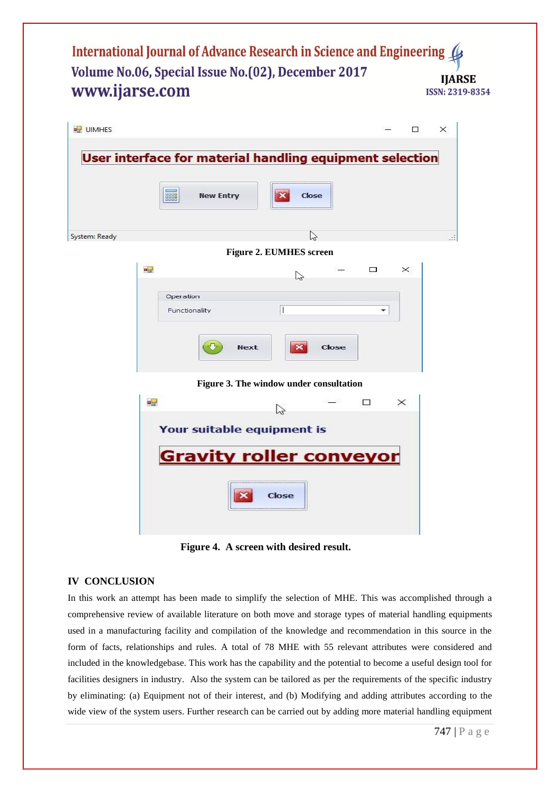International Journal of Advance Research in Science and Engineering ( Volume No.06, Special Issue No.(02), December 2017 **IIARSE** www.ijarse.com ISSN: 2319-8354

| <b>all</b> UIMHES | $\times$<br>□                                            |
|-------------------|----------------------------------------------------------|
|                   | User interface for material handling equipment selection |
|                   | HHH<br><b>New Entry</b><br>×<br>Close                    |
| System: Ready     | $\heartsuit$                                             |
|                   | <b>Figure 2. EUMHES screen</b>                           |
| 공급                | $\times$<br>$\Box$<br>$\mathbb{Z}$                       |
|                   | Operation                                                |
|                   | H<br>Functionality<br>۰                                  |
|                   | $\boldsymbol{\times}$<br><b>Next</b><br>Close            |
|                   | Figure 3. The window under consultation                  |
| - 교               | $\times$<br>⊓<br>B                                       |
|                   | Your suitable equipment is                               |
|                   | <b>Gravity roller conveyor</b>                           |
|                   | <b>Close</b>                                             |

**Figure 4. A screen with desired result.**

# **IV CONCLUSION**

In this work an attempt has been made to simplify the selection of MHE. This was accomplished through a comprehensive review of available literature on both move and storage types of material handling equipments used in a manufacturing facility and compilation of the knowledge and recommendation in this source in the form of facts, relationships and rules. A total of 78 MHE with 55 relevant attributes were considered and included in the knowledgebase. This work has the capability and the potential to become a useful design tool for facilities designers in industry. Also the system can be tailored as per the requirements of the specific industry by eliminating: (a) Equipment not of their interest, and (b) Modifying and adding attributes according to the wide view of the system users. Further research can be carried out by adding more material handling equipment